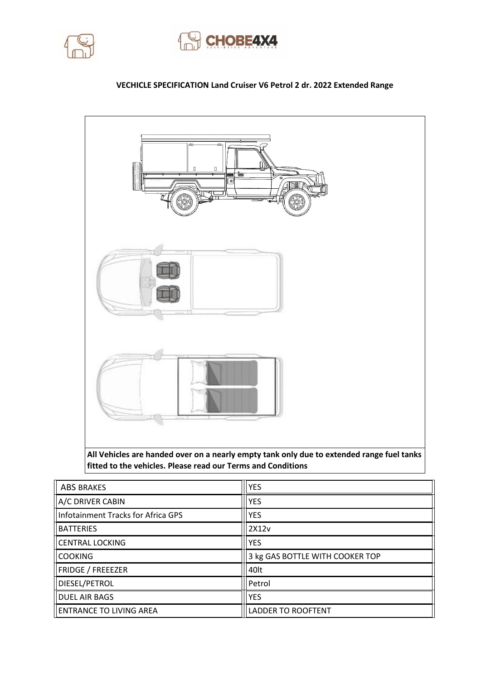



## **VECHICLE SPECIFICATION Land Cruiser V6 Petrol 2 dr. 2022 Extended Range**



**fitted to the vehicles. Please read our Terms and Conditions**

| <b>ABS BRAKES</b>                  | <b>YES</b>                      |  |
|------------------------------------|---------------------------------|--|
| A/C DRIVER CABIN                   | <b>YES</b>                      |  |
| Infotainment Tracks for Africa GPS | <b>YES</b>                      |  |
| <b>BATTERIES</b>                   | 2X12v                           |  |
| CENTRAL LOCKING                    | <b>YES</b>                      |  |
| <b>COOKING</b>                     | 3 kg GAS BOTTLE WITH COOKER TOP |  |
| FRIDGE / FREEEZER                  | 40lt                            |  |
| <b>DIESEL/PETROL</b>               | Petrol                          |  |
| <b>DUEL AIR BAGS</b>               | <b>YES</b>                      |  |
| ENTRANCE TO LIVING AREA            | <b>LADDER TO ROOFTENT</b>       |  |